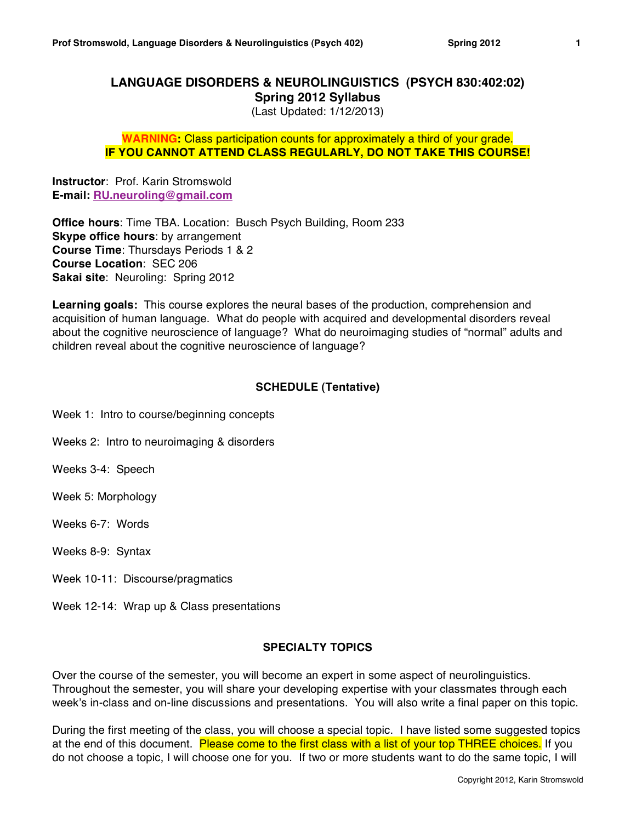# **LANGUAGE DISORDERS & NEUROLINGUISTICS (PSYCH 830:402:02) Spring 2012 Syllabus**

(Last Updated: 1/12/2013)

# **WARNING:** Class participation counts for approximately a third of your grade. **IF YOU CANNOT ATTEND CLASS REGULARLY, DO NOT TAKE THIS COURSE!**

**Instructor**: Prof. Karin Stromswold **E-mail: RU.neuroling@gmail.com**

**Office hours**: Time TBA. Location: Busch Psych Building, Room 233 **Skype office hours**: by arrangement **Course Time**: Thursdays Periods 1 & 2 **Course Location**: SEC 206 **Sakai site**: Neuroling: Spring 2012

**Learning goals:** This course explores the neural bases of the production, comprehension and acquisition of human language. What do people with acquired and developmental disorders reveal about the cognitive neuroscience of language? What do neuroimaging studies of "normal" adults and children reveal about the cognitive neuroscience of language?

# **SCHEDULE (Tentative)**

Week 1: Intro to course/beginning concepts

Weeks 2: Intro to neuroimaging & disorders

Weeks 3-4: Speech

Week 5: Morphology

Weeks 6-7: Words

Weeks 8-9: Syntax

Week 10-11: Discourse/pragmatics

Week 12-14: Wrap up & Class presentations

# **SPECIALTY TOPICS**

Over the course of the semester, you will become an expert in some aspect of neurolinguistics. Throughout the semester, you will share your developing expertise with your classmates through each week's in-class and on-line discussions and presentations. You will also write a final paper on this topic.

During the first meeting of the class, you will choose a special topic. I have listed some suggested topics at the end of this document. Please come to the first class with a list of your top THREE choices. If you do not choose a topic, I will choose one for you. If two or more students want to do the same topic, I will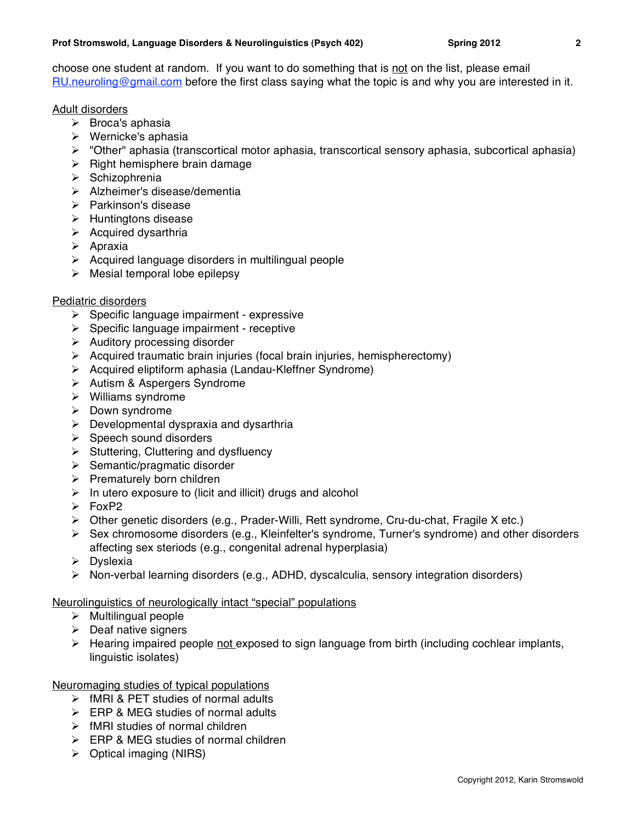choose one student at random. If you want to do something that is not on the list, please email RU.neuroling@gmail.com before the first class saying what the topic is and why you are interested in it.

# Adult disorders

- $\triangleright$  Broca's aphasia
- Wernicke's aphasia
- $\triangleright$  "Other" aphasia (transcortical motor aphasia, transcortical sensory aphasia, subcortical aphasia)
- $\triangleright$  Right hemisphere brain damage
- $\triangleright$  Schizophrenia
- Alzheimer's disease/dementia
- $\triangleright$  Parkinson's disease
- $\triangleright$  Huntingtons disease
- $\triangleright$  Acquired dysarthria
- $\triangleright$  Apraxia
- $\triangleright$  Acquired language disorders in multilingual people
- $\triangleright$  Mesial temporal lobe epilepsy

# Pediatric disorders

- $\triangleright$  Specific language impairment expressive
- $\triangleright$  Specific language impairment receptive
- $\triangleright$  Auditory processing disorder
- $\triangleright$  Acquired traumatic brain injuries (focal brain injuries, hemispherectomy)
- Acquired eliptiform aphasia (Landau-Kleffner Syndrome)
- > Autism & Aspergers Syndrome
- $\triangleright$  Williams syndrome
- $\triangleright$  Down syndrome
- $\triangleright$  Developmental dyspraxia and dysarthria
- $\triangleright$  Speech sound disorders
- $\triangleright$  Stuttering, Cluttering and dysfluency
- $\triangleright$  Semantic/pragmatic disorder
- $\triangleright$  Prematurely born children
- $\triangleright$  In utero exposure to (licit and illicit) drugs and alcohol
- $\triangleright$  FoxP2
- $\triangleright$  Other genetic disorders (e.g., Prader-Willi, Rett syndrome, Cru-du-chat, Fragile X etc.)
- $\triangleright$  Sex chromosome disorders (e.g., Kleinfelter's syndrome, Turner's syndrome) and other disorders affecting sex steriods (e.g., congenital adrenal hyperplasia)
- $\triangleright$  Dyslexia
- $\triangleright$  Non-verbal learning disorders (e.g., ADHD, dyscalculia, sensory integration disorders)

# Neurolinguistics of neurologically intact "special" populations

- $\triangleright$  Multilingual people
- $\triangleright$  Deaf native signers
- $\triangleright$  Hearing impaired people not exposed to sign language from birth (including cochlear implants, linguistic isolates)

# Neuromaging studies of typical populations

- $\triangleright$  fMRI & PET studies of normal adults
- $\triangleright$  ERP & MEG studies of normal adults
- $\triangleright$  fMRI studies of normal children
- $\triangleright$  ERP & MEG studies of normal children
- $\triangleright$  Optical imaging (NIRS)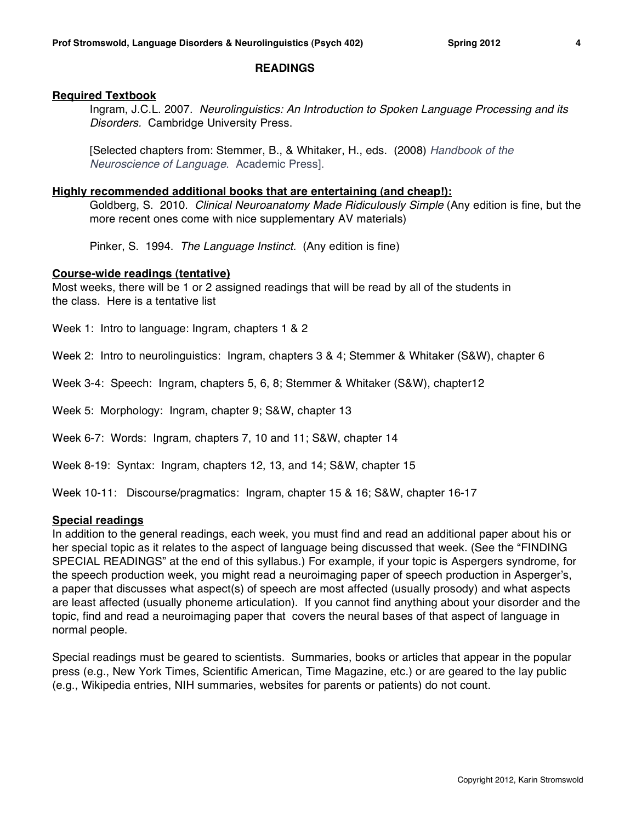### **READINGS**

### **Required Textbook**

Ingram, J.C.L. 2007. *Neurolinguistics: An Introduction to Spoken Language Processing and its Disorders.* Cambridge University Press.

[Selected chapters from: Stemmer, B., & Whitaker, H., eds. (2008) *Handbook of the Neuroscience of Language*. Academic Press].

#### **Highly recommended additional books that are entertaining (and cheap!):**

Goldberg, S. 2010. *Clinical Neuroanatomy Made Ridiculously Simple* (Any edition is fine, but the more recent ones come with nice supplementary AV materials)

Pinker, S. 1994. *The Language Instinct.* (Any edition is fine)

#### **Course-wide readings (tentative)**

Most weeks, there will be 1 or 2 assigned readings that will be read by all of the students in the class. Here is a tentative list

Week 1: Intro to language: Ingram, chapters 1 & 2

Week 2: Intro to neurolinguistics: Ingram, chapters 3 & 4; Stemmer & Whitaker (S&W), chapter 6

Week 3-4: Speech: Ingram, chapters 5, 6, 8; Stemmer & Whitaker (S&W), chapter12

Week 5: Morphology: Ingram, chapter 9; S&W, chapter 13

Week 6-7: Words: Ingram, chapters 7, 10 and 11; S&W, chapter 14

Week 8-19: Syntax: Ingram, chapters 12, 13, and 14; S&W, chapter 15

Week 10-11: Discourse/pragmatics: Ingram, chapter 15 & 16; S&W, chapter 16-17

#### **Special readings**

In addition to the general readings, each week, you must find and read an additional paper about his or her special topic as it relates to the aspect of language being discussed that week. (See the "FINDING SPECIAL READINGS" at the end of this syllabus.) For example, if your topic is Aspergers syndrome, for the speech production week, you might read a neuroimaging paper of speech production in Asperger's, a paper that discusses what aspect(s) of speech are most affected (usually prosody) and what aspects are least affected (usually phoneme articulation). If you cannot find anything about your disorder and the topic, find and read a neuroimaging paper that covers the neural bases of that aspect of language in normal people.

Special readings must be geared to scientists. Summaries, books or articles that appear in the popular press (e.g., New York Times, Scientific American, Time Magazine, etc.) or are geared to the lay public (e.g., Wikipedia entries, NIH summaries, websites for parents or patients) do not count.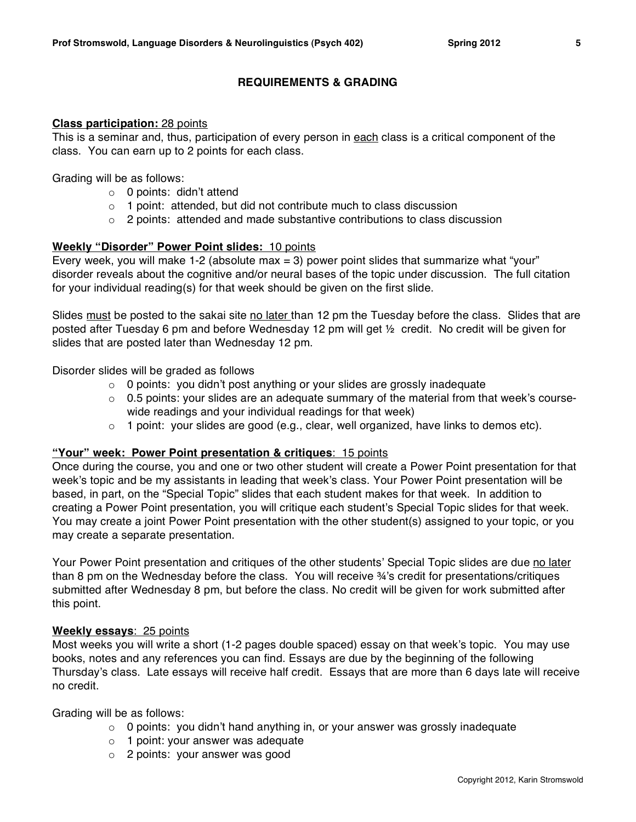# **REQUIREMENTS & GRADING**

### **Class participation:** 28 points

This is a seminar and, thus, participation of every person in each class is a critical component of the class. You can earn up to 2 points for each class.

Grading will be as follows:

- o 0 points: didn't attend
- o 1 point: attended, but did not contribute much to class discussion
- $\circ$  2 points: attended and made substantive contributions to class discussion

# **Weekly "Disorder" Power Point slides:** 10 points

Every week, you will make 1-2 (absolute max  $=$  3) power point slides that summarize what "your" disorder reveals about the cognitive and/or neural bases of the topic under discussion. The full citation for your individual reading(s) for that week should be given on the first slide.

Slides must be posted to the sakai site no later than 12 pm the Tuesday before the class. Slides that are posted after Tuesday 6 pm and before Wednesday 12 pm will get ½ credit. No credit will be given for slides that are posted later than Wednesday 12 pm.

Disorder slides will be graded as follows

- o 0 points: you didn't post anything or your slides are grossly inadequate
- $\circ$  0.5 points: your slides are an adequate summary of the material from that week's coursewide readings and your individual readings for that week)
- $\circ$  1 point: your slides are good (e.g., clear, well organized, have links to demos etc).

# **"Your" week: Power Point presentation & critiques**: 15 points

Once during the course, you and one or two other student will create a Power Point presentation for that week's topic and be my assistants in leading that week's class. Your Power Point presentation will be based, in part, on the "Special Topic" slides that each student makes for that week. In addition to creating a Power Point presentation, you will critique each student's Special Topic slides for that week. You may create a joint Power Point presentation with the other student(s) assigned to your topic, or you may create a separate presentation.

Your Power Point presentation and critiques of the other students' Special Topic slides are due no later than 8 pm on the Wednesday before the class. You will receive ¾'s credit for presentations/critiques submitted after Wednesday 8 pm, but before the class. No credit will be given for work submitted after this point.

# **Weekly essays**: 25 points

Most weeks you will write a short (1-2 pages double spaced) essay on that week's topic. You may use books, notes and any references you can find. Essays are due by the beginning of the following Thursday's class. Late essays will receive half credit. Essays that are more than 6 days late will receive no credit.

Grading will be as follows:

- $\circ$  0 points: you didn't hand anything in, or your answer was grossly inadequate
- o 1 point: your answer was adequate
- o 2 points: your answer was good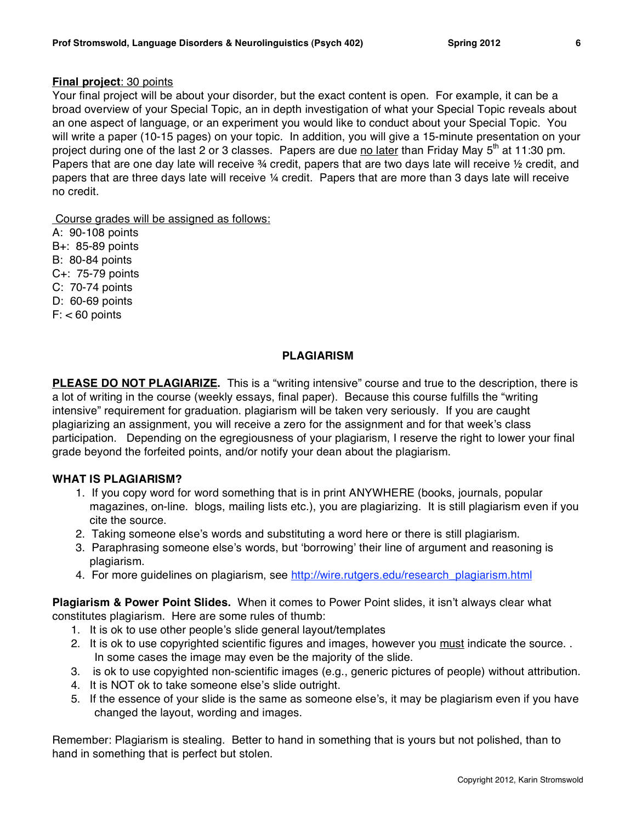### **Final project**: 30 points

Your final project will be about your disorder, but the exact content is open. For example, it can be a broad overview of your Special Topic, an in depth investigation of what your Special Topic reveals about an one aspect of language, or an experiment you would like to conduct about your Special Topic. You will write a paper (10-15 pages) on your topic. In addition, you will give a 15-minute presentation on your project during one of the last 2 or 3 classes. Papers are due no later than Friday May  $5<sup>th</sup>$  at 11:30 pm. Papers that are one day late will receive 34 credit, papers that are two days late will receive 1/2 credit, and papers that are three days late will receive ¼ credit. Papers that are more than 3 days late will receive no credit.

Course grades will be assigned as follows:

A: 90-108 points B+: 85-89 points B: 80-84 points C+: 75-79 points C: 70-74 points D: 60-69 points  $F: < 60$  points

# **PLAGIARISM**

**PLEASE DO NOT PLAGIARIZE.** This is a "writing intensive" course and true to the description, there is a lot of writing in the course (weekly essays, final paper). Because this course fulfills the "writing intensive" requirement for graduation. plagiarism will be taken very seriously. If you are caught plagiarizing an assignment, you will receive a zero for the assignment and for that week's class participation. Depending on the egregiousness of your plagiarism, I reserve the right to lower your final grade beyond the forfeited points, and/or notify your dean about the plagiarism.

# **WHAT IS PLAGIARISM?**

- 1. If you copy word for word something that is in print ANYWHERE (books, journals, popular magazines, on-line. blogs, mailing lists etc.), you are plagiarizing. It is still plagiarism even if you cite the source.
- 2. Taking someone else's words and substituting a word here or there is still plagiarism.
- 3. Paraphrasing someone else's words, but ʻborrowing' their line of argument and reasoning is plagiarism.
- 4. For more guidelines on plagiarism, see http://wire.rutgers.edu/research\_plagiarism.html

**Plagiarism & Power Point Slides.** When it comes to Power Point slides, it isn't always clear what constitutes plagiarism. Here are some rules of thumb:

- 1. It is ok to use other people's slide general layout/templates
- 2. It is ok to use copyrighted scientific figures and images, however you must indicate the source. . In some cases the image may even be the majority of the slide.
- 3. is ok to use copyighted non-scientific images (e.g., generic pictures of people) without attribution.
- 4. It is NOT ok to take someone else's slide outright.
- 5. If the essence of your slide is the same as someone else's, it may be plagiarism even if you have changed the layout, wording and images.

Remember: Plagiarism is stealing. Better to hand in something that is yours but not polished, than to hand in something that is perfect but stolen.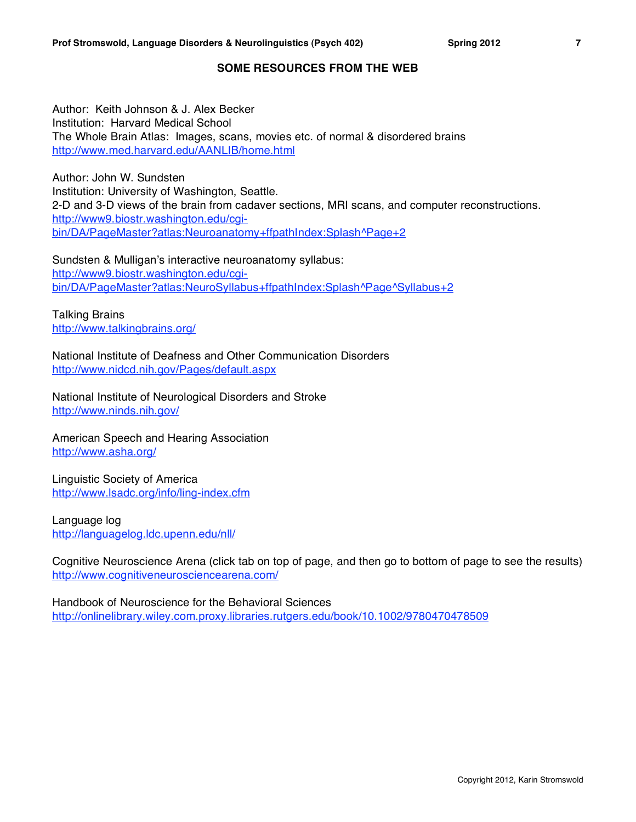# **SOME RESOURCES FROM THE WEB**

Author: Keith Johnson & J. Alex Becker Institution: Harvard Medical School The Whole Brain Atlas: Images, scans, movies etc. of normal & disordered brains http://www.med.harvard.edu/AANLIB/home.html

Author: John W. Sundsten Institution: University of Washington, Seattle. 2-D and 3-D views of the brain from cadaver sections, MRI scans, and computer reconstructions. http://www9.biostr.washington.edu/cgibin/DA/PageMaster?atlas:Neuroanatomy+ffpathIndex:Splash^Page+2

Sundsten & Mulligan's interactive neuroanatomy syllabus: http://www9.biostr.washington.edu/cgibin/DA/PageMaster?atlas:NeuroSyllabus+ffpathIndex:Splash^Page^Syllabus+2

Talking Brains http://www.talkingbrains.org/

National Institute of Deafness and Other Communication Disorders http://www.nidcd.nih.gov/Pages/default.aspx

National Institute of Neurological Disorders and Stroke http://www.ninds.nih.gov/

American Speech and Hearing Association http://www.asha.org/

Linguistic Society of America http://www.lsadc.org/info/ling-index.cfm

Language log http://languagelog.ldc.upenn.edu/nll/

Cognitive Neuroscience Arena (click tab on top of page, and then go to bottom of page to see the results) http://www.cognitiveneurosciencearena.com/

Handbook of Neuroscience for the Behavioral Sciences http://onlinelibrary.wiley.com.proxy.libraries.rutgers.edu/book/10.1002/9780470478509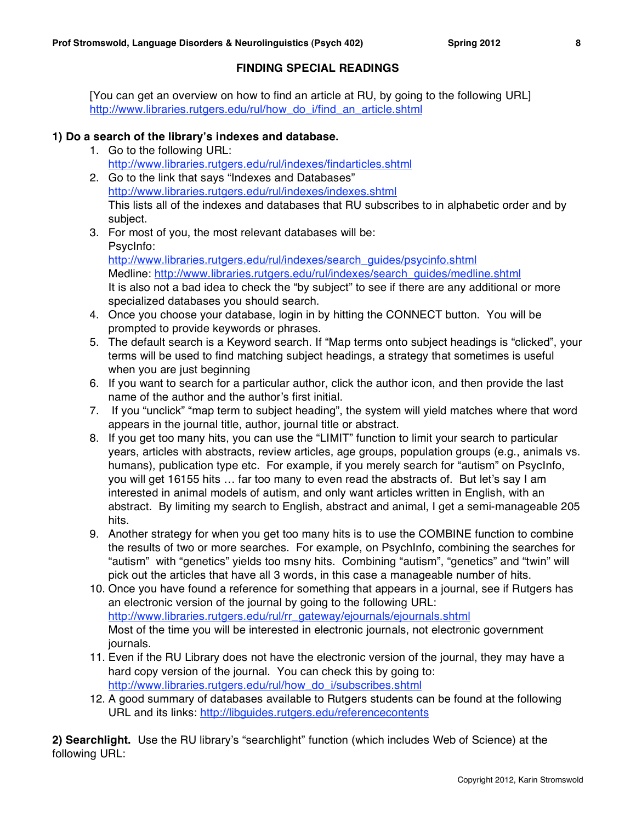# **FINDING SPECIAL READINGS**

[You can get an overview on how to find an article at RU, by going to the following URL] http://www.libraries.rutgers.edu/rul/how\_do\_i/find\_an\_article.shtml

# **1) Do a search of the library's indexes and database.**

- 1. Go to the following URL: http://www.libraries.rutgers.edu/rul/indexes/findarticles.shtml
- 2. Go to the link that says "Indexes and Databases" http://www.libraries.rutgers.edu/rul/indexes/indexes.shtml This lists all of the indexes and databases that RU subscribes to in alphabetic order and by subject.
- 3. For most of you, the most relevant databases will be: PsycInfo: http://www.libraries.rutgers.edu/rul/indexes/search\_guides/psycinfo.shtml Medline: http://www.libraries.rutgers.edu/rul/indexes/search\_guides/medline.shtml It is also not a bad idea to check the "by subject" to see if there are any additional or more specialized databases you should search.
- 4. Once you choose your database, login in by hitting the CONNECT button. You will be prompted to provide keywords or phrases.
- 5. The default search is a Keyword search. If "Map terms onto subject headings is "clicked", your terms will be used to find matching subject headings, a strategy that sometimes is useful when you are just beginning
- 6. If you want to search for a particular author, click the author icon, and then provide the last name of the author and the author's first initial.
- 7. If you "unclick" "map term to subject heading", the system will yield matches where that word appears in the journal title, author, journal title or abstract.
- 8. If you get too many hits, you can use the "LIMIT" function to limit your search to particular years, articles with abstracts, review articles, age groups, population groups (e.g., animals vs. humans), publication type etc. For example, if you merely search for "autism" on PsycInfo, you will get 16155 hits … far too many to even read the abstracts of. But let's say I am interested in animal models of autism, and only want articles written in English, with an abstract. By limiting my search to English, abstract and animal, I get a semi-manageable 205 hits.
- 9. Another strategy for when you get too many hits is to use the COMBINE function to combine the results of two or more searches. For example, on PsychInfo, combining the searches for "autism" with "genetics" yields too msny hits. Combining "autism", "genetics" and "twin" will pick out the articles that have all 3 words, in this case a manageable number of hits.
- 10. Once you have found a reference for something that appears in a journal, see if Rutgers has an electronic version of the journal by going to the following URL: http://www.libraries.rutgers.edu/rul/rr\_gateway/ejournals/ejournals.shtml Most of the time you will be interested in electronic journals, not electronic government journals.
- 11. Even if the RU Library does not have the electronic version of the journal, they may have a hard copy version of the journal. You can check this by going to: http://www.libraries.rutgers.edu/rul/how\_do\_i/subscribes.shtml
- 12. A good summary of databases available to Rutgers students can be found at the following URL and its links: http://libquides.rutgers.edu/referencecontents

**2) Searchlight.** Use the RU library's "searchlight" function (which includes Web of Science) at the following URL: